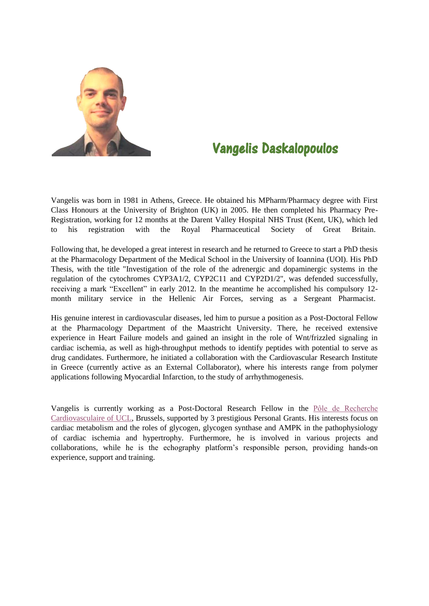

## Vangelis Daskalopoulos

Vangelis was born in 1981 in Athens, Greece. He obtained his MPharm/Pharmacy degree with First Class Honours at the University of Brighton (UK) in 2005. He then completed his Pharmacy Pre-Registration, working for 12 months at the Darent Valley Hospital NHS Trust (Kent, UK), which led to his registration with the Royal Pharmaceutical Society of Great Britain.

Following that, he developed a great interest in research and he returned to Greece to start a PhD thesis at the Pharmacology Department of the Medical School in the University of Ioannina (UOI). His PhD Thesis, with the title "Investigation of the role of the adrenergic and dopaminergic systems in the regulation of the cytochromes CYP3A1/2, CYP2C11 and CYP2D1/2", was defended successfully, receiving a mark "Excellent" in early 2012. In the meantime he accomplished his compulsory 12 month military service in the Hellenic Air Forces, serving as a Sergeant Pharmacist.

His genuine interest in cardiovascular diseases, led him to pursue a position as a Post-Doctoral Fellow at the Pharmacology Department of the Maastricht University. There, he received extensive experience in Heart Failure models and gained an insight in the role of Wnt/frizzled signaling in cardiac ischemia, as well as high-throughput methods to identify peptides with potential to serve as drug candidates. Furthermore, he initiated a collaboration with the Cardiovascular Research Institute in Greece (currently active as an External Collaborator), where his interests range from polymer applications following Myocardial Infarction, to the study of arrhythmogenesis.

Vangelis is currently working as a Post-Doctoral Research Fellow in the [Pôle de Recherche](https://uclouvain.be/en/index.html)  [Cardiovasculaire of UCL,](https://uclouvain.be/en/index.html) Brussels, supported by 3 prestigious Personal Grants. His interests focus on cardiac metabolism and the roles of glycogen, glycogen synthase and AMPK in the pathophysiology of cardiac ischemia and hypertrophy. Furthermore, he is involved in various projects and collaborations, while he is the echography platform's responsible person, providing hands-on experience, support and training.